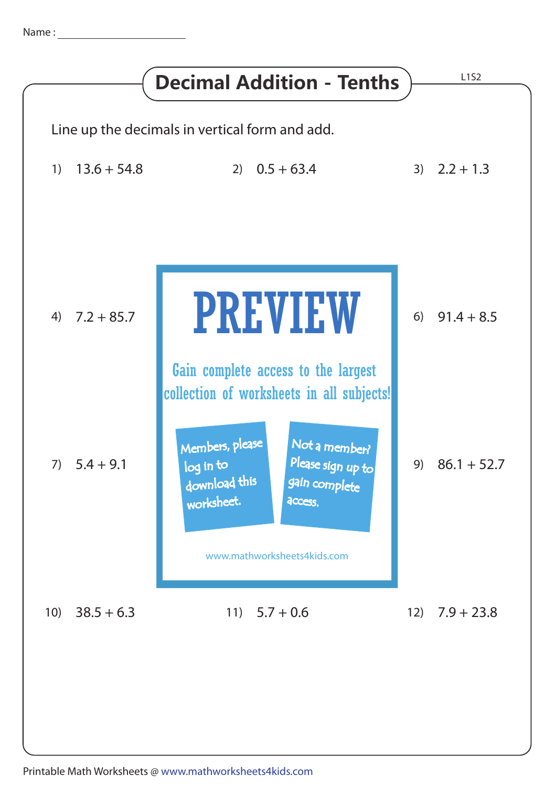